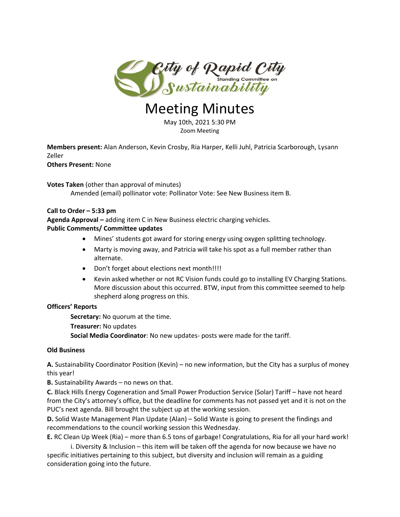

# Meeting Minutes

May 10th, 2021 5:30 PM Zoom Meeting

**Members present:** Alan Anderson, Kevin Crosby, Ria Harper, Kelli Juhl, Patricia Scarborough, Lysann Zeller

**Others Present:** None

**Votes Taken** (other than approval of minutes) Amended (email) pollinator vote: Pollinator Vote: See New Business item B.

## **Call to Order – 5:33 pm**

**Agenda Approval –** adding item C in New Business electric charging vehicles. **Public Comments/ Committee updates**

- Mines' students got award for storing energy using oxygen splitting technology.
- Marty is moving away, and Patricia will take his spot as a full member rather than alternate.
- Don't forget about elections next month!!!!
- Kevin asked whether or not RC Vision funds could go to installing EV Charging Stations. More discussion about this occurred. BTW, input from this committee seemed to help shepherd along progress on this.

## **Officers' Reports**

**Secretary:** No quorum at the time.

**Treasurer:** No updates

**Social Media Coordinator**: No new updates- posts were made for the tariff.

## **Old Business**

**A.** Sustainability Coordinator Position (Kevin) – no new information, but the City has a surplus of money this year!

**B.** Sustainability Awards – no news on that.

**C.** Black Hills Energy Cogeneration and Small Power Production Service (Solar) Tariff – have not heard from the City's attorney's office, but the deadline for comments has not passed yet and it is not on the PUC's next agenda. Bill brought the subject up at the working session.

**D.** Solid Waste Management Plan Update (Alan) – Solid Waste is going to present the findings and recommendations to the council working session this Wednesday.

**E.** RC Clean Up Week (Ria) – more than 6.5 tons of garbage! Congratulations, Ria for all your hard work!

i. Diversity & Inclusion – this item will be taken off the agenda for now because we have no specific initiatives pertaining to this subject, but diversity and inclusion will remain as a guiding consideration going into the future.